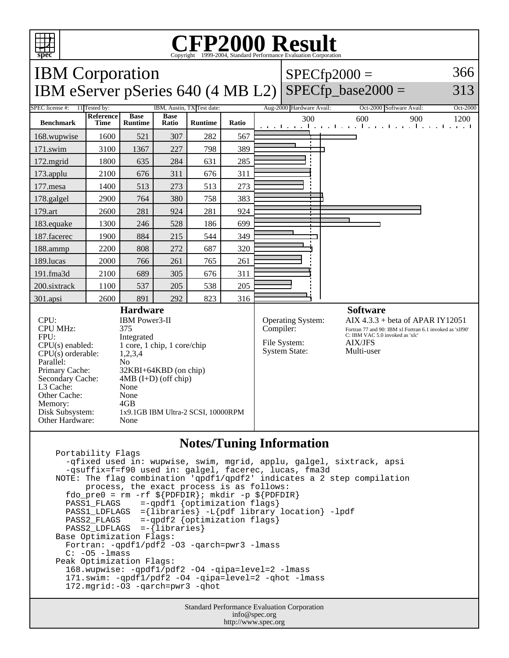

Other Cache: None<br>Memory: 4GB

Other Hardware: None

Disk Subsystem: 1x9.1GB IBM Ultra-2 SCSI, 10000RPM

Memory:

## Copyright ©1999-2004, Standard Performance Evaluation Corporation

| <b>IBM</b> Corporation                                | $ SPECfp2000 =$ | 366 |
|-------------------------------------------------------|-----------------|-----|
| IBM eServer pSeries $640$ (4 MB L2) SPECfp_base2000 = |                 | 313 |

| SPEC license #:                                                        | 11 Tested by:     | IBM, Austin, TX Test date:    |                      |                | Aug-2000 Hardware Avail: | Oct-2000 Software Avail:<br>Oct-2000                     |                                                                          |
|------------------------------------------------------------------------|-------------------|-------------------------------|----------------------|----------------|--------------------------|----------------------------------------------------------|--------------------------------------------------------------------------|
| <b>Benchmark</b>                                                       | Reference<br>Time | <b>Base</b><br><b>Runtime</b> | <b>Base</b><br>Ratio | <b>Runtime</b> | Ratio                    | 300                                                      | 600<br>900<br>1200<br>and the media matrix media media media media media |
| 168.wupwise                                                            | 1600              | 521                           | 307                  | 282            | 567                      | $\mathbf{I}$                                             |                                                                          |
| $171$ .swim                                                            | 3100              | 1367                          | 227                  | 798            | 389                      | $\blacksquare$                                           |                                                                          |
| $172$ . mgrid                                                          | 1800              | 635                           | 284                  | 631            | 285                      |                                                          |                                                                          |
| $173$ .applu                                                           | 2100              | 676                           | 311                  | 676            | 311                      |                                                          |                                                                          |
| 177.mesa                                                               | 1400              | 513                           | 273                  | 513            | 273                      |                                                          |                                                                          |
| 178.galgel                                                             | 2900              | 764                           | 380                  | 758            | 383                      | $\blacksquare$                                           |                                                                          |
| 179.art                                                                | 2600              | 281                           | 924                  | 281            | 924                      |                                                          |                                                                          |
| 183. equake                                                            | 1300              | 246                           | 528                  | 186            | 699                      |                                                          |                                                                          |
| 187.facerec                                                            | 1900              | 884                           | 215                  | 544            | 349                      | ٠                                                        |                                                                          |
| 188.ammp                                                               | 2200              | 808                           | 272                  | 687            | 320                      |                                                          |                                                                          |
| 189.lucas                                                              | 2000              | 766                           | 261                  | 765            | 261                      |                                                          |                                                                          |
| $191$ .fma $3d$                                                        | 2100              | 689                           | 305                  | 676            | 311                      |                                                          |                                                                          |
| 200.sixtrack                                                           | 1100              | 537                           | 205                  | 538            | 205                      |                                                          |                                                                          |
| 301.apsi                                                               | 2600              | 891                           | 292                  | 823            | 316                      |                                                          |                                                                          |
| <b>Hardware</b>                                                        |                   |                               |                      |                |                          | <b>Software</b>                                          |                                                                          |
| CPU:<br>IBM Power3-II                                                  |                   |                               |                      |                | Operating System:        | AIX $4.3.3$ + beta of APAR IY12051                       |                                                                          |
| <b>CPU MHz:</b><br>375                                                 |                   |                               |                      |                | Compiler:                | Fortran 77 and 90: IBM xl Fortran 6.1 invoked as 'xlf90' |                                                                          |
| FPU:<br>Integrated                                                     |                   |                               |                      |                | File System:             | C: IBM VAC 5.0 invoked as 'xlc'<br><b>AIX/JFS</b>        |                                                                          |
| 1 core, 1 chip, 1 core/chip<br>$CPU(s)$ enabled:                       |                   |                               |                      |                | <b>System State:</b>     | Multi-user                                               |                                                                          |
| $CPU(s)$ orderable:<br>1,2,3,4                                         |                   |                               |                      |                |                          |                                                          |                                                                          |
| Parallel:<br>N <sub>o</sub><br>Primary Cache:<br>32KBI+64KBD (on chip) |                   |                               |                      |                |                          |                                                          |                                                                          |
| Secondary Cache:<br>$4MB$ (I+D) (off chip)                             |                   |                               |                      |                |                          |                                                          |                                                                          |
| L3 Cache:<br>None                                                      |                   |                               |                      |                |                          |                                                          |                                                                          |

## **Notes/Tuning Information**

 Portability Flags -qfixed used in: wupwise, swim, mgrid, applu, galgel, sixtrack, apsi -qsuffix=f=f90 used in: galgel, facerec, lucas, fma3d NOTE: The flag combination 'qpdf1/qpdf2' indicates a 2 step compilation process, the exact process is as follows: fdo\_pre0 = rm -rf  $\S[PDFDIR]$ ; mkdir -p  $\S[PDFDIR]$  PASS1\_FLAGS =-qpdf1 {optimization flags} PASS1\_LDFLAGS ={libraries} -L{pdf library location} -lpdf PASS2\_FLAGS =-qpdf2 {optimization flags} PASS2\_LDFLAGS =-{libraries} Base Optimization Flags: Fortran: -qpdf1/pdf2 -O3 -qarch=pwr3 -lmass  $C: -05 -l$ mass Peak Optimization Flags: 168.wupwise: -qpdf1/pdf2 -O4 -qipa=level=2 -lmass 171.swim: -qpdf1/pdf2 -O4 -qipa=level=2 -qhot -lmass 172.mgrid:-O3 -qarch=pwr3 -qhot

> Standard Performance Evaluation Corporation info@spec.org http://www.spec.org